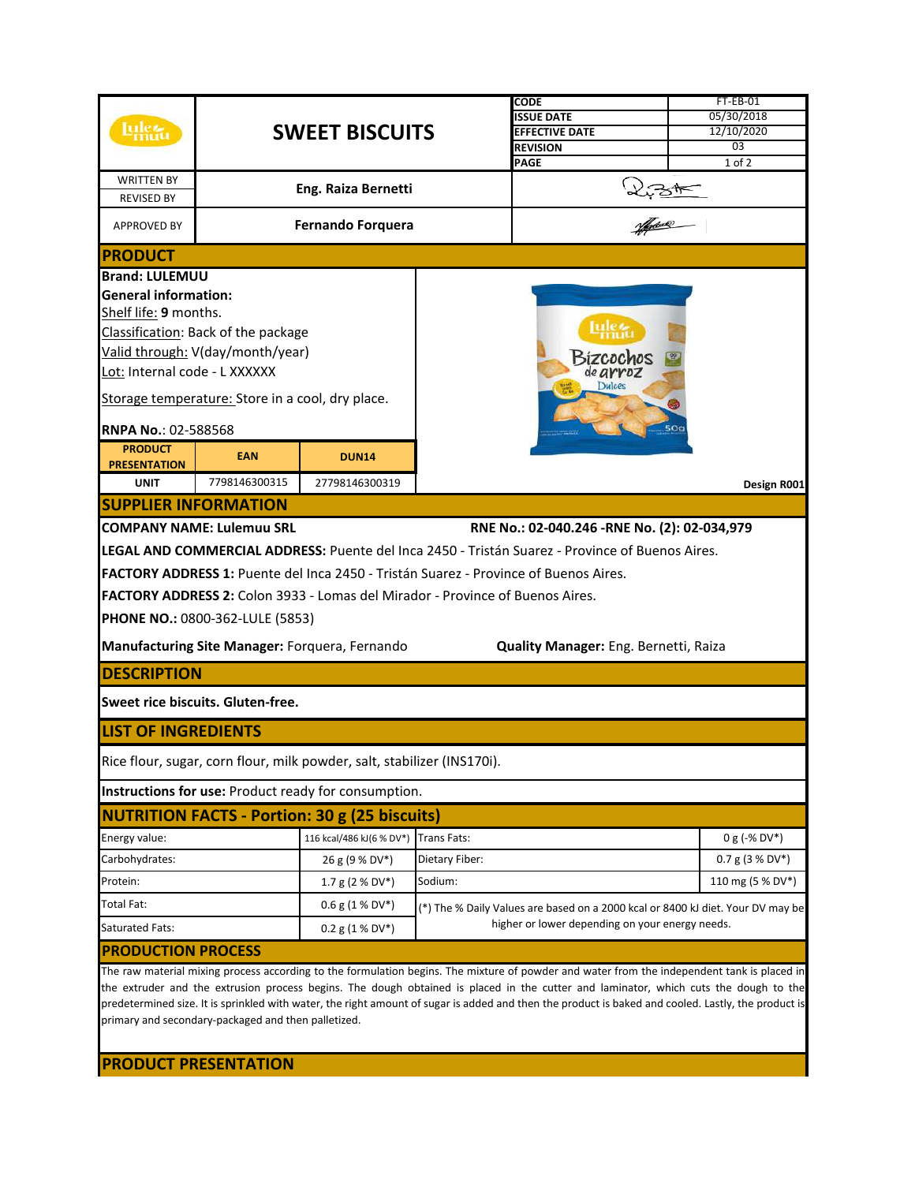|                                                                                                                                                                                                                                                                                                                                                    |                                                  |                                                                               |                                                 | CODE                                                                                                   | $FT-EB-01$        |  |  |  |
|----------------------------------------------------------------------------------------------------------------------------------------------------------------------------------------------------------------------------------------------------------------------------------------------------------------------------------------------------|--------------------------------------------------|-------------------------------------------------------------------------------|-------------------------------------------------|--------------------------------------------------------------------------------------------------------|-------------------|--|--|--|
|                                                                                                                                                                                                                                                                                                                                                    |                                                  |                                                                               |                                                 | <b>SSUE DATE</b>                                                                                       | 05/30/2018        |  |  |  |
|                                                                                                                                                                                                                                                                                                                                                    | <b>SWEET BISCUITS</b>                            |                                                                               |                                                 | <b>EFFECTIVE DATE</b>                                                                                  | 12/10/2020        |  |  |  |
|                                                                                                                                                                                                                                                                                                                                                    |                                                  |                                                                               |                                                 | <b>REVISION</b>                                                                                        | 03                |  |  |  |
|                                                                                                                                                                                                                                                                                                                                                    |                                                  |                                                                               |                                                 | PAGE                                                                                                   | $1$ of $2$        |  |  |  |
| <b>WRITTEN BY</b><br><b>REVISED BY</b>                                                                                                                                                                                                                                                                                                             |                                                  | Eng. Raiza Bernetti                                                           |                                                 |                                                                                                        |                   |  |  |  |
| <b>APPROVED BY</b>                                                                                                                                                                                                                                                                                                                                 | <b>Fernando Forquera</b>                         |                                                                               |                                                 | 2.31                                                                                                   |                   |  |  |  |
| <b>PRODUCT</b>                                                                                                                                                                                                                                                                                                                                     |                                                  |                                                                               |                                                 |                                                                                                        |                   |  |  |  |
| <b>Brand: LULEMUU</b>                                                                                                                                                                                                                                                                                                                              |                                                  |                                                                               |                                                 |                                                                                                        |                   |  |  |  |
| <b>General information:</b>                                                                                                                                                                                                                                                                                                                        |                                                  |                                                                               |                                                 |                                                                                                        |                   |  |  |  |
| Shelf life: 9 months.                                                                                                                                                                                                                                                                                                                              |                                                  |                                                                               | Bizcochos                                       |                                                                                                        |                   |  |  |  |
|                                                                                                                                                                                                                                                                                                                                                    | Classification: Back of the package              |                                                                               |                                                 |                                                                                                        |                   |  |  |  |
|                                                                                                                                                                                                                                                                                                                                                    |                                                  |                                                                               |                                                 |                                                                                                        |                   |  |  |  |
|                                                                                                                                                                                                                                                                                                                                                    | Valid through: V(day/month/year)                 |                                                                               |                                                 |                                                                                                        |                   |  |  |  |
| Lot: Internal code - L XXXXXX                                                                                                                                                                                                                                                                                                                      |                                                  |                                                                               |                                                 | de arroz                                                                                               |                   |  |  |  |
|                                                                                                                                                                                                                                                                                                                                                    | Storage temperature: Store in a cool, dry place. |                                                                               |                                                 | Dulces                                                                                                 |                   |  |  |  |
|                                                                                                                                                                                                                                                                                                                                                    |                                                  |                                                                               |                                                 |                                                                                                        |                   |  |  |  |
| RNPA No.: 02-588568                                                                                                                                                                                                                                                                                                                                |                                                  |                                                                               |                                                 |                                                                                                        |                   |  |  |  |
| <b>PRODUCT</b>                                                                                                                                                                                                                                                                                                                                     |                                                  |                                                                               |                                                 |                                                                                                        |                   |  |  |  |
| <b>PRESENTATION</b>                                                                                                                                                                                                                                                                                                                                | <b>EAN</b>                                       | <b>DUN14</b>                                                                  |                                                 |                                                                                                        |                   |  |  |  |
| <b>UNIT</b>                                                                                                                                                                                                                                                                                                                                        | 7798146300315                                    | 27798146300319                                                                |                                                 |                                                                                                        | Design R001       |  |  |  |
| <b>SUPPLIER INFORMATION</b>                                                                                                                                                                                                                                                                                                                        |                                                  |                                                                               |                                                 |                                                                                                        |                   |  |  |  |
|                                                                                                                                                                                                                                                                                                                                                    | <b>COMPANY NAME: Lulemuu SRL</b>                 |                                                                               |                                                 | RNE No.: 02-040.246 -RNE No. (2): 02-034,979                                                           |                   |  |  |  |
|                                                                                                                                                                                                                                                                                                                                                    |                                                  |                                                                               |                                                 | <b>LEGAL AND COMMERCIAL ADDRESS:</b> Puente del Inca 2450 - Tristán Suarez - Province of Buenos Aires. |                   |  |  |  |
|                                                                                                                                                                                                                                                                                                                                                    |                                                  |                                                                               |                                                 | FACTORY ADDRESS 1: Puente del Inca 2450 - Tristán Suarez - Province of Buenos Aires.                   |                   |  |  |  |
|                                                                                                                                                                                                                                                                                                                                                    |                                                  |                                                                               |                                                 |                                                                                                        |                   |  |  |  |
|                                                                                                                                                                                                                                                                                                                                                    |                                                  | FACTORY ADDRESS 2: Colon 3933 - Lomas del Mirador - Province of Buenos Aires. |                                                 |                                                                                                        |                   |  |  |  |
|                                                                                                                                                                                                                                                                                                                                                    | PHONE NO.: 0800-362-LULE (5853)                  |                                                                               |                                                 |                                                                                                        |                   |  |  |  |
|                                                                                                                                                                                                                                                                                                                                                    |                                                  | Manufacturing Site Manager: Forquera, Fernando                                |                                                 | Quality Manager: Eng. Bernetti, Raiza                                                                  |                   |  |  |  |
| <b>DESCRIPTION</b>                                                                                                                                                                                                                                                                                                                                 |                                                  |                                                                               |                                                 |                                                                                                        |                   |  |  |  |
|                                                                                                                                                                                                                                                                                                                                                    | Sweet rice biscuits. Gluten-free.                |                                                                               |                                                 |                                                                                                        |                   |  |  |  |
| <b>LIST OF INGREDIENTS</b>                                                                                                                                                                                                                                                                                                                         |                                                  |                                                                               |                                                 |                                                                                                        |                   |  |  |  |
|                                                                                                                                                                                                                                                                                                                                                    |                                                  | Rice flour, sugar, corn flour, milk powder, salt, stabilizer (INS170i).       |                                                 |                                                                                                        |                   |  |  |  |
|                                                                                                                                                                                                                                                                                                                                                    |                                                  | Instructions for use: Product ready for consumption.                          |                                                 |                                                                                                        |                   |  |  |  |
| <b>NUTRITION FACTS - Portion: 30 g (25 biscuits)</b>                                                                                                                                                                                                                                                                                               |                                                  |                                                                               |                                                 |                                                                                                        |                   |  |  |  |
| Energy value:                                                                                                                                                                                                                                                                                                                                      |                                                  | 116 kcal/486 kJ(6 % DV*) Trans Fats:                                          |                                                 |                                                                                                        | $0 g (-\% DV^*)$  |  |  |  |
| Carbohydrates:                                                                                                                                                                                                                                                                                                                                     |                                                  | 26 g (9 % DV*)                                                                | Dietary Fiber:                                  |                                                                                                        | $0.7 g (3 % DV*)$ |  |  |  |
| Protein:                                                                                                                                                                                                                                                                                                                                           |                                                  | 1.7 g (2 % DV*)                                                               | Sodium:                                         |                                                                                                        | 110 mg (5 % DV*)  |  |  |  |
| Total Fat:                                                                                                                                                                                                                                                                                                                                         |                                                  | $0.6$ g (1 % DV*)                                                             |                                                 | (*) The % Daily Values are based on a 2000 kcal or 8400 kJ diet. Your DV may be                        |                   |  |  |  |
| Saturated Fats:                                                                                                                                                                                                                                                                                                                                    |                                                  | $0.2$ g (1 % DV*)                                                             | higher or lower depending on your energy needs. |                                                                                                        |                   |  |  |  |
| <b>PRODUCTION PROCESS</b>                                                                                                                                                                                                                                                                                                                          |                                                  |                                                                               |                                                 |                                                                                                        |                   |  |  |  |
| The raw material mixing process according to the formulation begins. The mixture of powder and water from the independent tank is placed in                                                                                                                                                                                                        |                                                  |                                                                               |                                                 |                                                                                                        |                   |  |  |  |
| the extruder and the extrusion process begins. The dough obtained is placed in the cutter and laminator, which cuts the dough to the<br>predetermined size. It is sprinkled with water, the right amount of sugar is added and then the product is baked and cooled. Lastly, the product is<br>primary and secondary-packaged and then palletized. |                                                  |                                                                               |                                                 |                                                                                                        |                   |  |  |  |
|                                                                                                                                                                                                                                                                                                                                                    |                                                  |                                                                               |                                                 |                                                                                                        |                   |  |  |  |

**PRODUCT PRESENTATION**